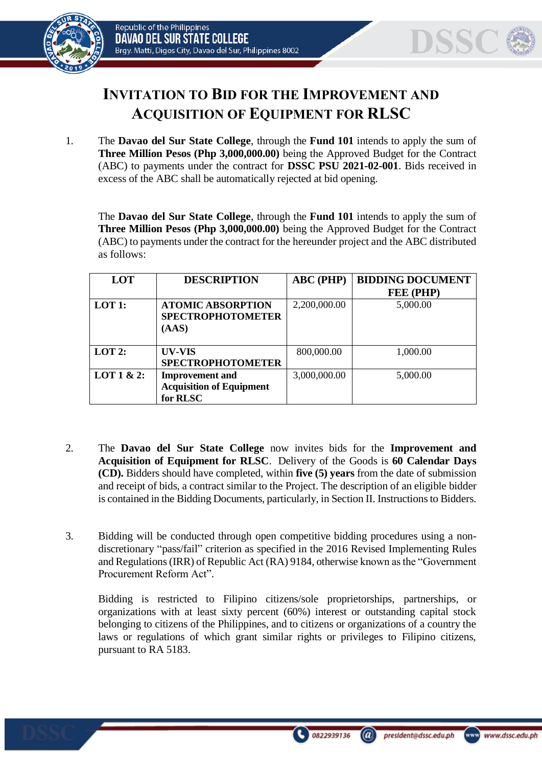



## **INVITATION TO BID FOR THE IMPROVEMENT AND ACQUISITION OF EQUIPMENT FOR RLSC**

1. The **Davao del Sur State College**, through the **Fund 101** intends to apply the sum of **Three Million Pesos (Php 3,000,000.00)** being the Approved Budget for the Contract (ABC) to payments under the contract for **DSSC PSU 2021-02-001**. Bids received in excess of the ABC shall be automatically rejected at bid opening.

The **Davao del Sur State College**, through the **Fund 101** intends to apply the sum of **Three Million Pesos (Php 3,000,000.00)** being the Approved Budget for the Contract (ABC) to payments under the contract for the hereunder project and the ABC distributed as follows:

| LOT        | <b>DESCRIPTION</b>                                                    | <b>ABC</b> (PHP) | <b>BIDDING DOCUMENT</b><br>FEE (PHP) |
|------------|-----------------------------------------------------------------------|------------------|--------------------------------------|
| LOT 1:     | <b>ATOMIC ABSORPTION</b><br><b>SPECTROPHOTOMETER</b><br>(AdS)         | 2,200,000.00     | 5,000.00                             |
| $LOT2$ :   | UV-VIS<br><b>SPECTROPHOTOMETER</b>                                    | 800,000.00       | 1,000.00                             |
| LOT 1 & 2: | <b>Improvement</b> and<br><b>Acquisition of Equipment</b><br>for RLSC | 3,000,000.00     | 5,000.00                             |

- 2. The **Davao del Sur State College** now invites bids for the **Improvement and Acquisition of Equipment for RLSC**. Delivery of the Goods is **60 Calendar Days (CD).** Bidders should have completed, within **five (5) years** from the date of submission and receipt of bids, a contract similar to the Project. The description of an eligible bidder is contained in the Bidding Documents, particularly, in Section II. Instructions to Bidders.
- 3. Bidding will be conducted through open competitive bidding procedures using a nondiscretionary "pass/fail" criterion as specified in the 2016 Revised Implementing Rules and Regulations (IRR) of Republic Act (RA) 9184, otherwise known as the "Government Procurement Reform Act".

Bidding is restricted to Filipino citizens/sole proprietorships, partnerships, or organizations with at least sixty percent (60%) interest or outstanding capital stock belonging to citizens of the Philippines, and to citizens or organizations of a country the laws or regulations of which grant similar rights or privileges to Filipino citizens, pursuant to RA 5183.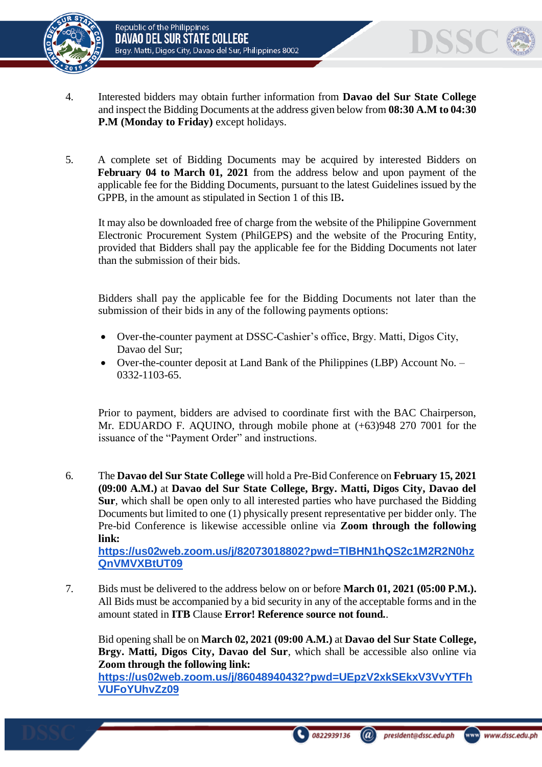

- 4. Interested bidders may obtain further information from **Davao del Sur State College** and inspect the Bidding Documents at the address given below from **08:30 A.M to 04:30 P.M (Monday to Friday)** except holidays.
- 5. A complete set of Bidding Documents may be acquired by interested Bidders on **February 04 to March 01, 2021** from the address below and upon payment of the applicable fee for the Bidding Documents, pursuant to the latest Guidelines issued by the GPPB, in the amount as stipulated in Section 1 of this IB**.**

It may also be downloaded free of charge from the website of the Philippine Government Electronic Procurement System (PhilGEPS) and the website of the Procuring Entity*,*  provided that Bidders shall pay the applicable fee for the Bidding Documents not later than the submission of their bids.

Bidders shall pay the applicable fee for the Bidding Documents not later than the submission of their bids in any of the following payments options:

- Over-the-counter payment at DSSC-Cashier's office, Brgy. Matti, Digos City, Davao del Sur;
- Over-the-counter deposit at Land Bank of the Philippines (LBP) Account No. 0332-1103-65.

Prior to payment, bidders are advised to coordinate first with the BAC Chairperson, Mr. EDUARDO F. AQUINO, through mobile phone at (+63)948 270 7001 for the issuance of the "Payment Order" and instructions.

- 6. The **Davao del Sur State College** will hold a Pre-Bid Conference on **February 15, 2021 (09:00 A.M.)** at **Davao del Sur State College, Brgy. Matti, Digos City, Davao del Sur***,* which shall be open only to all interested parties who have purchased the Bidding Documents but limited to one (1) physically present representative per bidder only. The Pre-bid Conference is likewise accessible online via **Zoom through the following link: [https://us02web.zoom.us/j/82073018802?pwd=TlBHN1hQS2c1M2R2N0hz](https://us02web.zoom.us/j/82073018802?pwd=TlBHN1hQS2c1M2R2N0hzQnVMVXBtUT09) [QnVMVXBtUT09](https://us02web.zoom.us/j/82073018802?pwd=TlBHN1hQS2c1M2R2N0hzQnVMVXBtUT09)**
- 7. Bids must be delivered to the address below on or before **March 01, 2021 (05:00 P.M.).** All Bids must be accompanied by a bid security in any of the acceptable forms and in the amount stated in **ITB** Clause **Error! Reference source not found.**.

Bid opening shall be on **March 02, 2021 (09:00 A.M.)** at **Davao del Sur State College, Brgy. Matti, Digos City, Davao del Sur**, which shall be accessible also online via **Zoom through the following link: [https://us02web.zoom.us/j/86048940432?pwd=UEpzV2xkSEkxV3VvYTFh](https://us02web.zoom.us/j/86048940432?pwd=UEpzV2xkSEkxV3VvYTFhVUFoYUhvZz09) [VUFoYUhvZz09](https://us02web.zoom.us/j/86048940432?pwd=UEpzV2xkSEkxV3VvYTFhVUFoYUhvZz09)**



 $\overline{a}$ 

DSSC